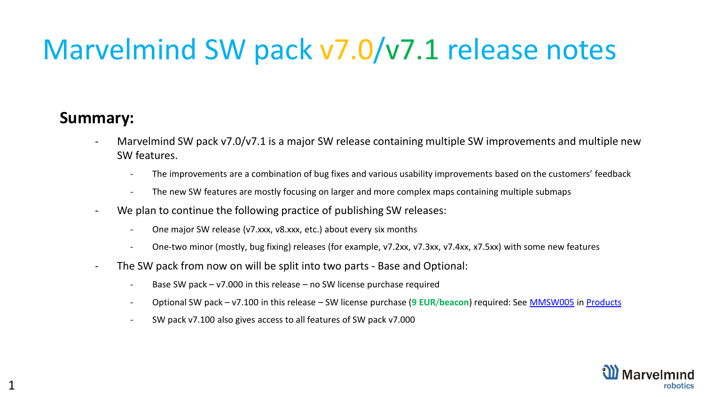## Marvelmind SW pack v7.0/v7.1 release notes

#### **Summary:**

- Marvelmind SW pack v7.0/v7.1 is a major SW release containing multiple SW improvements and multiple new SW features.
	- The improvements are a combination of bug fixes and various usability improvements based on the customers' feedback
	- The new SW features are mostly focusing on larger and more complex maps containing multiple submaps
- We plan to continue the following practice of publishing SW releases:
	- One major SW release (v7.xxx, v8.xxx, etc.) about every six months
	- One-two minor (mostly, bug fixing) releases (for example, v7.2xx, v7.3xx, v7.4xx, x7.5xx) with some new features
- The SW pack from now on will be split into two parts Base and Optional:
	- Base SW pack  $v7.000$  in this release  $-$  no SW license purchase required
	- Optional SW pack v7.100 in this release SW license purchase (**9 EUR**/**beacon**) required: See [MMSW005](https://marvelmind.com/product/mmsw0005/) in [Products](https://marvelmind.com/products/)
	- SW pack v7.100 also gives access to all features of SW pack v7.000

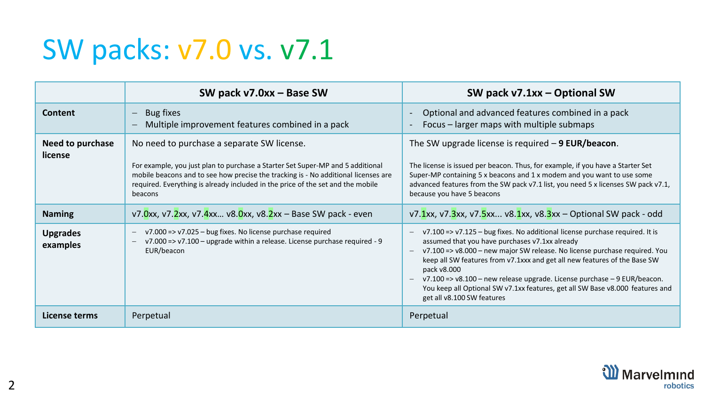#### SW packs: v7.0 vs. v7.1

|                             | SW pack v7.0xx - Base SW                                                                                                                                                                                                                                                                                         | SW pack v7.1xx - Optional SW                                                                                                                                                                                                                                                                                                                                                                                                                                                                                                                                |
|-----------------------------|------------------------------------------------------------------------------------------------------------------------------------------------------------------------------------------------------------------------------------------------------------------------------------------------------------------|-------------------------------------------------------------------------------------------------------------------------------------------------------------------------------------------------------------------------------------------------------------------------------------------------------------------------------------------------------------------------------------------------------------------------------------------------------------------------------------------------------------------------------------------------------------|
| Content                     | Bug fixes<br>$\overline{\phantom{m}}$<br>Multiple improvement features combined in a pack<br>$\overline{\phantom{m}}$                                                                                                                                                                                            | Optional and advanced features combined in a pack<br>Focus – larger maps with multiple submaps<br>$\overline{\phantom{a}}$                                                                                                                                                                                                                                                                                                                                                                                                                                  |
| Need to purchase<br>license | No need to purchase a separate SW license.<br>For example, you just plan to purchase a Starter Set Super-MP and 5 additional<br>mobile beacons and to see how precise the tracking is - No additional licenses are<br>required. Everything is already included in the price of the set and the mobile<br>beacons | The SW upgrade license is required $-9$ EUR/beacon.<br>The license is issued per beacon. Thus, for example, if you have a Starter Set<br>Super-MP containing 5 x beacons and 1 x modem and you want to use some<br>advanced features from the SW pack v7.1 list, you need 5 x licenses SW pack v7.1,<br>because you have 5 beacons                                                                                                                                                                                                                          |
| <b>Naming</b>               | v7.0xx, v7.2xx, v7.4xx v8.0xx, v8.2xx – Base SW pack - even                                                                                                                                                                                                                                                      | v7.1xx, v7.3xx, v7.5xx v8.1xx, v8.3xx – Optional SW pack - odd                                                                                                                                                                                                                                                                                                                                                                                                                                                                                              |
| <b>Upgrades</b><br>examples | $v7.000 \Rightarrow v7.025 - bug fixes.$ No license purchase required<br>$\qquad \qquad -$<br>v7.000 => v7.100 - upgrade within a release. License purchase required - 9<br>$\overline{\phantom{m}}$<br>EUR/beacon                                                                                               | v7.100 => v7.125 - bug fixes. No additional license purchase required. It is<br>$\qquad \qquad -$<br>assumed that you have purchases v7.1xx already<br>v7.100 => v8.000 - new major SW release. No license purchase required. You<br>$\overline{\phantom{m}}$<br>keep all SW features from v7.1xxx and get all new features of the Base SW<br>pack v8.000<br>$v7.100 \approx v8.100$ – new release upgrade. License purchase – 9 EUR/beacon.<br>You keep all Optional SW v7.1xx features, get all SW Base v8.000 features and<br>get all v8.100 SW features |
| License terms               | Perpetual                                                                                                                                                                                                                                                                                                        | Perpetual                                                                                                                                                                                                                                                                                                                                                                                                                                                                                                                                                   |

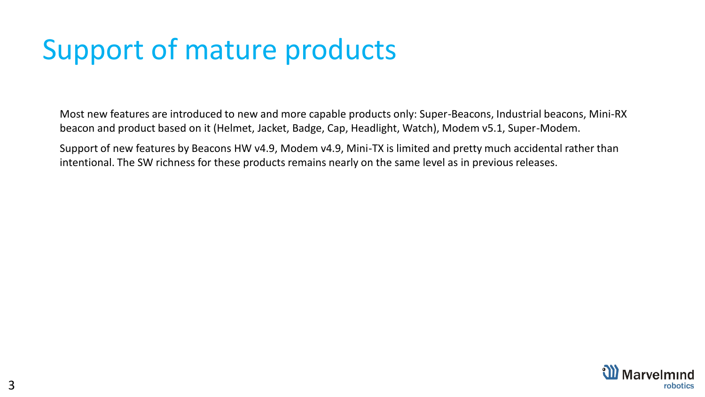#### Support of mature products

Most new features are introduced to new and more capable products only: Super-Beacons, Industrial beacons, Mini-RX beacon and product based on it (Helmet, Jacket, Badge, Cap, Headlight, Watch), Modem v5.1, Super-Modem.

Support of new features by Beacons HW v4.9, Modem v4.9, Mini-TX is limited and pretty much accidental rather than intentional. The SW richness for these products remains nearly on the same level as in previous releases.

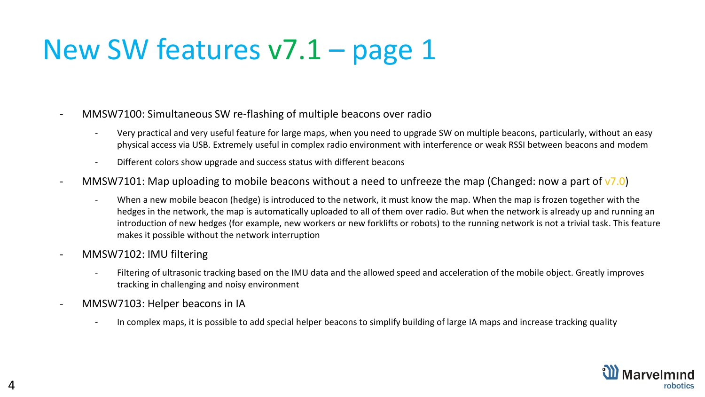- MMSW7100: Simultaneous SW re-flashing of multiple beacons over radio
	- Very practical and very useful feature for large maps, when you need to upgrade SW on multiple beacons, particularly, without an easy physical access via USB. Extremely useful in complex radio environment with interference or weak RSSI between beacons and modem
	- Different colors show upgrade and success status with different beacons
- MMSW7101: Map uploading to mobile beacons without a need to unfreeze the map (Changed: now a part of  $\sqrt{7.0}$ )
	- When a new mobile beacon (hedge) is introduced to the network, it must know the map. When the map is frozen together with the hedges in the network, the map is automatically uploaded to all of them over radio. But when the network is already up and running an introduction of new hedges (for example, new workers or new forklifts or robots) to the running network is not a trivial task. This feature makes it possible without the network interruption
- MMSW7102: IMU filtering
	- Filtering of ultrasonic tracking based on the IMU data and the allowed speed and acceleration of the mobile object. Greatly improves tracking in challenging and noisy environment
- MMSW7103: Helper beacons in IA
	- In complex maps, it is possible to add special helper beacons to simplify building of large IA maps and increase tracking quality

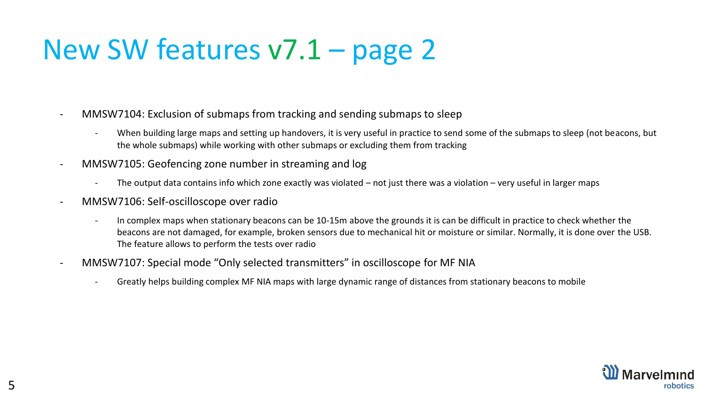- MMSW7104: Exclusion of submaps from tracking and sending submaps to sleep
	- When building large maps and setting up handovers, it is very useful in practice to send some of the submaps to sleep (not beacons, but the whole submaps) while working with other submaps or excluding them from tracking
- MMSW7105: Geofencing zone number in streaming and log
	- The output data contains info which zone exactly was violated  $-$  not just there was a violation  $-$  very useful in larger maps
- MMSW7106: Self-oscilloscope over radio
	- In complex maps when stationary beacons can be 10-15m above the grounds it is can be difficult in practice to check whether the beacons are not damaged, for example, broken sensors due to mechanical hit or moisture or similar. Normally, it is done over the USB. The feature allows to perform the tests over radio
- MMSW7107: Special mode "Only selected transmitters" in oscilloscope for MF NIA
	- Greatly helps building complex MF NIA maps with large dynamic range of distances from stationary beacons to mobile

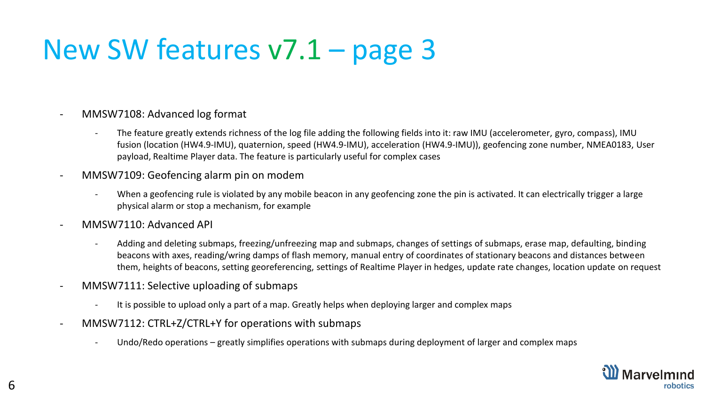- MMSW7108: Advanced log format
	- The feature greatly extends richness of the log file adding the following fields into it: raw IMU (accelerometer, gyro, compass), IMU fusion (location (HW4.9-IMU), quaternion, speed (HW4.9-IMU), acceleration (HW4.9-IMU)), geofencing zone number, NMEA0183, User payload, Realtime Player data. The feature is particularly useful for complex cases
- MMSW7109: Geofencing alarm pin on modem
	- When a geofencing rule is violated by any mobile beacon in any geofencing zone the pin is activated. It can electrically trigger a large physical alarm or stop a mechanism, for example
- MMSW7110: Advanced API
	- Adding and deleting submaps, freezing/unfreezing map and submaps, changes of settings of submaps, erase map, defaulting, binding beacons with axes, reading/wring damps of flash memory, manual entry of coordinates of stationary beacons and distances between them, heights of beacons, setting georeferencing, settings of Realtime Player in hedges, update rate changes, location update on request
- MMSW7111: Selective uploading of submaps
	- It is possible to upload only a part of a map. Greatly helps when deploying larger and complex maps
- MMSW7112: CTRL+Z/CTRL+Y for operations with submaps
	- Undo/Redo operations greatly simplifies operations with submaps during deployment of larger and complex maps

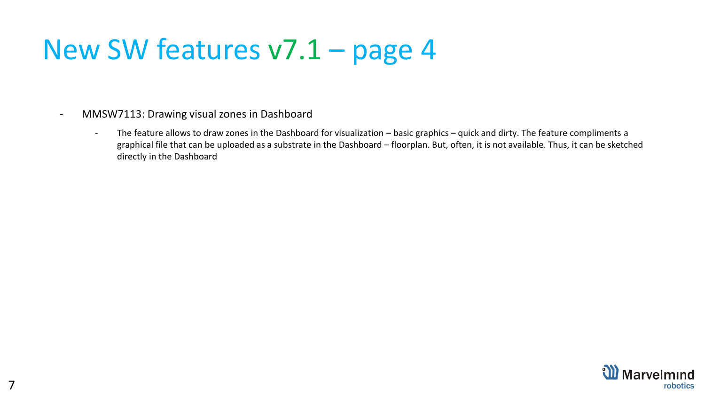- MMSW7113: Drawing visual zones in Dashboard
	- The feature allows to draw zones in the Dashboard for visualization basic graphics quick and dirty. The feature compliments a graphical file that can be uploaded as a substrate in the Dashboard – floorplan. But, often, it is not available. Thus, it can be sketched directly in the Dashboard

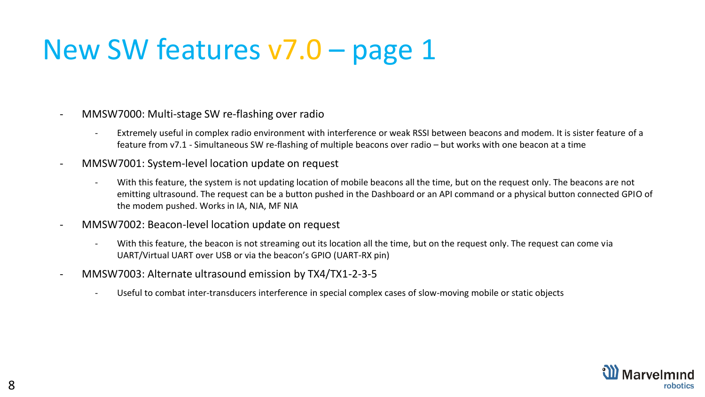- MMSW7000: Multi-stage SW re-flashing over radio
	- Extremely useful in complex radio environment with interference or weak RSSI between beacons and modem. It is sister feature of a feature from v7.1 - Simultaneous SW re-flashing of multiple beacons over radio – but works with one beacon at a time
- MMSW7001: System-level location update on request
	- With this feature, the system is not updating location of mobile beacons all the time, but on the request only. The beacons are not emitting ultrasound. The request can be a button pushed in the Dashboard or an API command or a physical button connected GPIO of the modem pushed. Works in IA, NIA, MF NIA
- MMSW7002: Beacon-level location update on request
	- With this feature, the beacon is not streaming out its location all the time, but on the request only. The request can come via UART/Virtual UART over USB or via the beacon's GPIO (UART-RX pin)
- MMSW7003: Alternate ultrasound emission by TX4/TX1-2-3-5
	- Useful to combat inter-transducers interference in special complex cases of slow-moving mobile or static objects

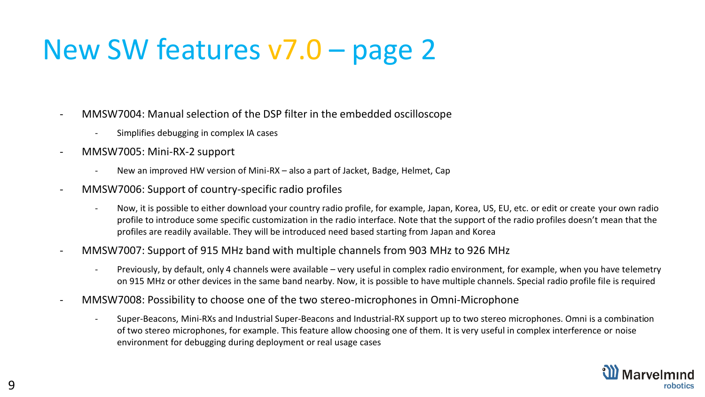- MMSW7004: Manual selection of the DSP filter in the embedded oscilloscope
	- Simplifies debugging in complex IA cases
- MMSW7005: Mini-RX-2 support
	- New an improved HW version of Mini-RX also a part of Jacket, Badge, Helmet, Cap
- MMSW7006: Support of country-specific radio profiles
	- Now, it is possible to either download your country radio profile, for example, Japan, Korea, US, EU, etc. or edit or create your own radio profile to introduce some specific customization in the radio interface. Note that the support of the radio profiles doesn't mean that the profiles are readily available. They will be introduced need based starting from Japan and Korea
- MMSW7007: Support of 915 MHz band with multiple channels from 903 MHz to 926 MHz
	- Previously, by default, only 4 channels were available very useful in complex radio environment, for example, when you have telemetry on 915 MHz or other devices in the same band nearby. Now, it is possible to have multiple channels. Special radio profile file is required
- MMSW7008: Possibility to choose one of the two stereo-microphones in Omni-Microphone
	- Super-Beacons, Mini-RXs and Industrial Super-Beacons and Industrial-RX support up to two stereo microphones. Omni is a combination of two stereo microphones, for example. This feature allow choosing one of them. It is very useful in complex interference or noise environment for debugging during deployment or real usage cases

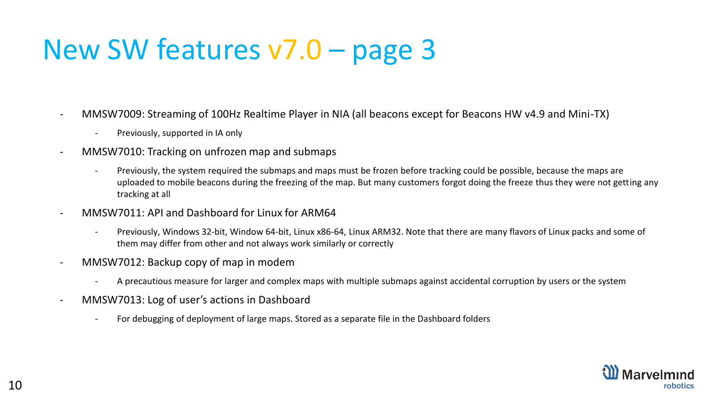- MMSW7009: Streaming of 100Hz Realtime Player in NIA (all beacons except for Beacons HW v4.9 and Mini-TX)
	- Previously, supported in IA only
- MMSW7010: Tracking on unfrozen map and submaps
	- Previously, the system required the submaps and maps must be frozen before tracking could be possible, because the maps are uploaded to mobile beacons during the freezing of the map. But many customers forgot doing the freeze thus they were not getting any tracking at all
- MMSW7011: API and Dashboard for Linux for ARM64
	- Previously, Windows 32-bit, Window 64-bit, Linux x86-64, Linux ARM32. Note that there are many flavors of Linux packs and some of them may differ from other and not always work similarly or correctly
- MMSW7012: Backup copy of map in modem
	- A precautious measure for larger and complex maps with multiple submaps against accidental corruption by users or the system
- MMSW7013: Log of user's actions in Dashboard
	- For debugging of deployment of large maps. Stored as a separate file in the Dashboard folders

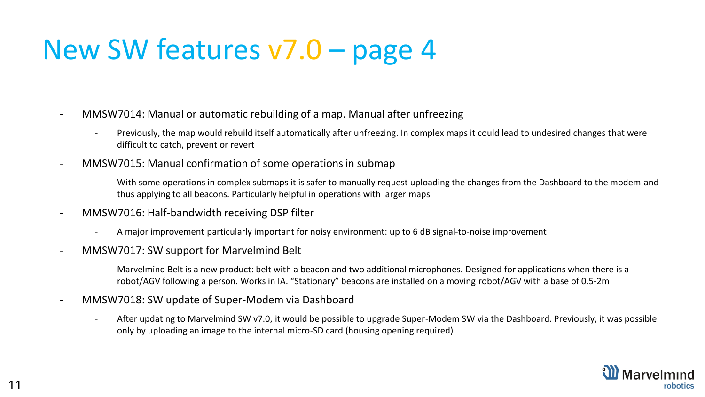- MMSW7014: Manual or automatic rebuilding of a map. Manual after unfreezing
	- Previously, the map would rebuild itself automatically after unfreezing. In complex maps it could lead to undesired changes that were difficult to catch, prevent or revert
- MMSW7015: Manual confirmation of some operations in submap
	- With some operations in complex submaps it is safer to manually request uploading the changes from the Dashboard to the modem and thus applying to all beacons. Particularly helpful in operations with larger maps
- MMSW7016: Half-bandwidth receiving DSP filter
	- A major improvement particularly important for noisy environment: up to 6 dB signal-to-noise improvement
- MMSW7017: SW support for Marvelmind Belt
	- Marvelmind Belt is a new product: belt with a beacon and two additional microphones. Designed for applications when there is a robot/AGV following a person. Works in IA. "Stationary" beacons are installed on a moving robot/AGV with a base of 0.5-2m
- MMSW7018: SW update of Super-Modem via Dashboard
	- After updating to Marvelmind SW v7.0, it would be possible to upgrade Super-Modem SW via the Dashboard. Previously, it was possible only by uploading an image to the internal micro-SD card (housing opening required)

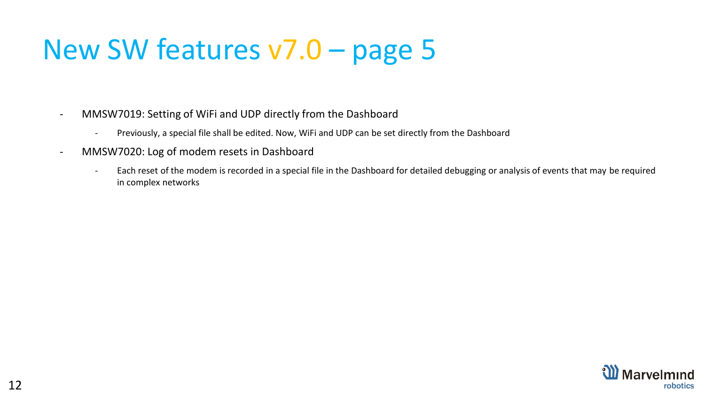- MMSW7019: Setting of WiFi and UDP directly from the Dashboard
	- Previously, a special file shall be edited. Now, WiFi and UDP can be set directly from the Dashboard
- MMSW7020: Log of modem resets in Dashboard
	- Each reset of the modem is recorded in a special file in the Dashboard for detailed debugging or analysis of events that may be required in complex networks

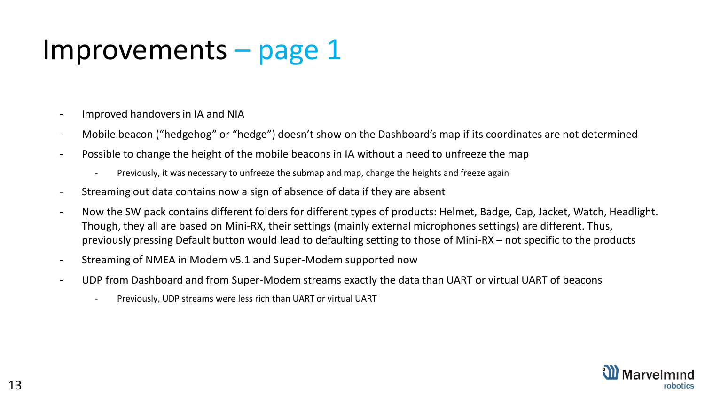#### Improvements – page 1

- Improved handovers in IA and NIA
- Mobile beacon ("hedgehog" or "hedge") doesn't show on the Dashboard's map if its coordinates are not determined
- Possible to change the height of the mobile beacons in IA without a need to unfreeze the map
	- Previously, it was necessary to unfreeze the submap and map, change the heights and freeze again
- Streaming out data contains now a sign of absence of data if they are absent
- Now the SW pack contains different folders for different types of products: Helmet, Badge, Cap, Jacket, Watch, Headlight. Though, they all are based on Mini-RX, their settings (mainly external microphones settings) are different. Thus, previously pressing Default button would lead to defaulting setting to those of Mini-RX – not specific to the products
- Streaming of NMEA in Modem v5.1 and Super-Modem supported now
- UDP from Dashboard and from Super-Modem streams exactly the data than UART or virtual UART of beacons
	- Previously, UDP streams were less rich than UART or virtual UART

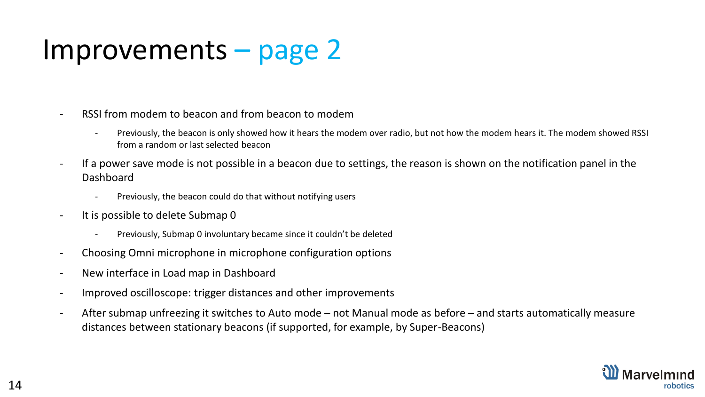#### Improvements – page 2

- RSSI from modem to beacon and from beacon to modem
	- Previously, the beacon is only showed how it hears the modem over radio, but not how the modem hears it. The modem showed RSSI from a random or last selected beacon
- If a power save mode is not possible in a beacon due to settings, the reason is shown on the notification panel in the Dashboard
	- Previously, the beacon could do that without notifying users
- It is possible to delete Submap 0
	- Previously, Submap 0 involuntary became since it couldn't be deleted
- Choosing Omni microphone in microphone configuration options
- New interface in Load map in Dashboard
- Improved oscilloscope: trigger distances and other improvements
- After submap unfreezing it switches to Auto mode not Manual mode as before and starts automatically measure distances between stationary beacons (if supported, for example, by Super-Beacons)

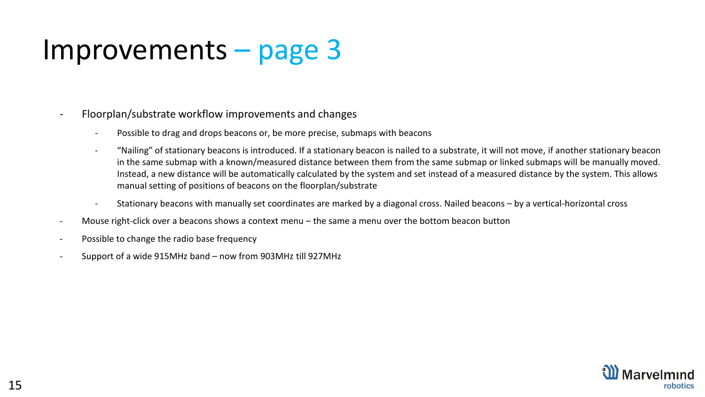#### Improvements – page 3

- Floorplan/substrate workflow improvements and changes
	- Possible to drag and drops beacons or, be more precise, submaps with beacons
	- "Nailing" of stationary beacons is introduced. If a stationary beacon is nailed to a substrate, it will not move, if another stationary beacon in the same submap with a known/measured distance between them from the same submap or linked submaps will be manually moved. Instead, a new distance will be automatically calculated by the system and set instead of a measured distance by the system. This allows manual setting of positions of beacons on the floorplan/substrate
	- Stationary beacons with manually set coordinates are marked by a diagonal cross. Nailed beacons by a vertical-horizontal cross
- Mouse right-click over a beacons shows a context menu the same a menu over the bottom beacon button
- Possible to change the radio base frequency
- Support of a wide 915MHz band now from 903MHz till 927MHz

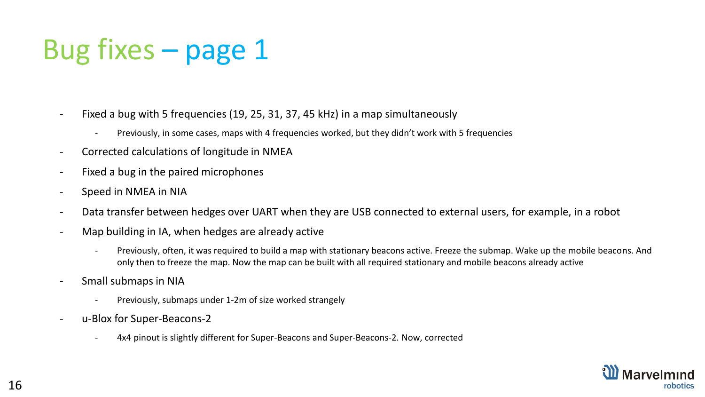- Fixed a bug with 5 frequencies (19, 25, 31, 37, 45 kHz) in a map simultaneously
	- Previously, in some cases, maps with 4 frequencies worked, but they didn't work with 5 frequencies
- Corrected calculations of longitude in NMEA
- Fixed a bug in the paired microphones
- Speed in NMEA in NIA
- Data transfer between hedges over UART when they are USB connected to external users, for example, in a robot
- Map building in IA, when hedges are already active
	- Previously, often, it was required to build a map with stationary beacons active. Freeze the submap. Wake up the mobile beacons. And only then to freeze the map. Now the map can be built with all required stationary and mobile beacons already active
- Small submaps in NIA
	- Previously, submaps under 1-2m of size worked strangely
- u-Blox for Super-Beacons-2
	- 4x4 pinout is slightly different for Super-Beacons and Super-Beacons-2. Now, corrected

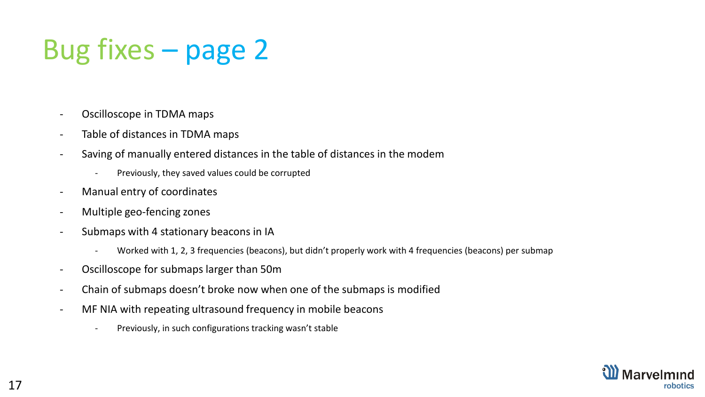- Oscilloscope in TDMA maps
- Table of distances in TDMA maps
- Saving of manually entered distances in the table of distances in the modem
	- Previously, they saved values could be corrupted
- Manual entry of coordinates
- Multiple geo-fencing zones
- Submaps with 4 stationary beacons in IA
	- Worked with 1, 2, 3 frequencies (beacons), but didn't properly work with 4 frequencies (beacons) per submap
- Oscilloscope for submaps larger than 50m
- Chain of submaps doesn't broke now when one of the submaps is modified
- MF NIA with repeating ultrasound frequency in mobile beacons
	- Previously, in such configurations tracking wasn't stable

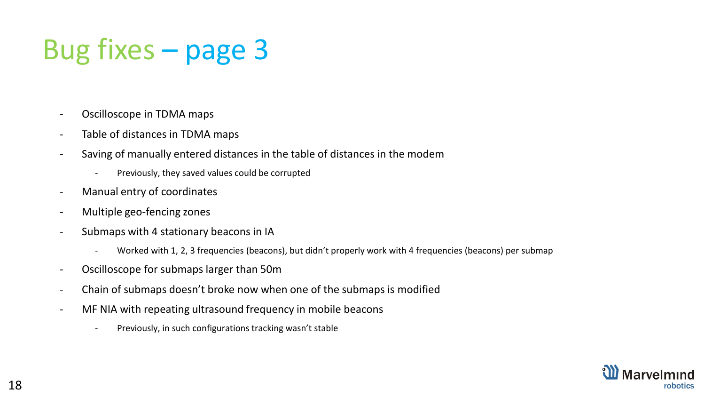- Oscilloscope in TDMA maps
- Table of distances in TDMA maps
- Saving of manually entered distances in the table of distances in the modem
	- Previously, they saved values could be corrupted
- Manual entry of coordinates
- Multiple geo-fencing zones
- Submaps with 4 stationary beacons in IA
	- Worked with 1, 2, 3 frequencies (beacons), but didn't properly work with 4 frequencies (beacons) per submap
- Oscilloscope for submaps larger than 50m
- Chain of submaps doesn't broke now when one of the submaps is modified
- MF NIA with repeating ultrasound frequency in mobile beacons
	- Previously, in such configurations tracking wasn't stable

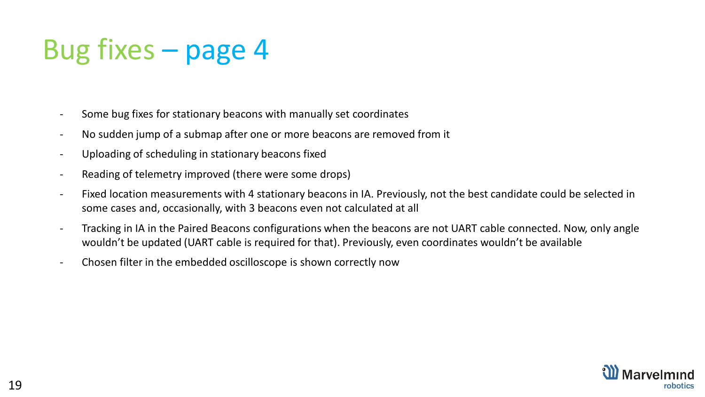- Some bug fixes for stationary beacons with manually set coordinates
- No sudden jump of a submap after one or more beacons are removed from it
- Uploading of scheduling in stationary beacons fixed
- Reading of telemetry improved (there were some drops)
- Fixed location measurements with 4 stationary beacons in IA. Previously, not the best candidate could be selected in some cases and, occasionally, with 3 beacons even not calculated at all
- Tracking in IA in the Paired Beacons configurations when the beacons are not UART cable connected. Now, only angle wouldn't be updated (UART cable is required for that). Previously, even coordinates wouldn't be available
- Chosen filter in the embedded oscilloscope is shown correctly now

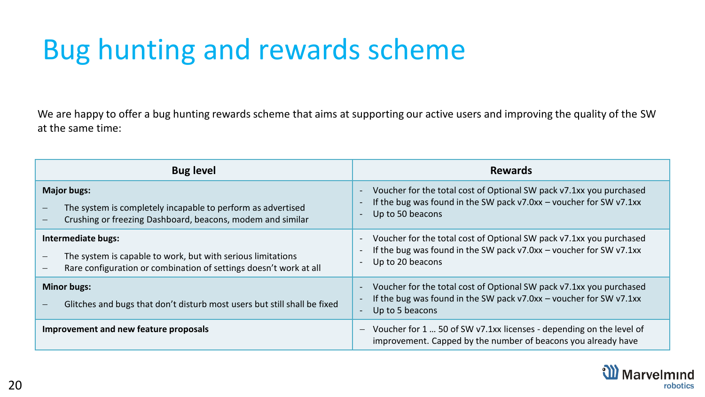## Bug hunting and rewards scheme

We are happy to offer a bug hunting rewards scheme that aims at supporting our active users and improving the quality of the SW at the same time:

| <b>Bug level</b>                                                                                                                                                            | <b>Rewards</b>                                                                                                                                                    |
|-----------------------------------------------------------------------------------------------------------------------------------------------------------------------------|-------------------------------------------------------------------------------------------------------------------------------------------------------------------|
| <b>Major bugs:</b><br>The system is completely incapable to perform as advertised<br>Crushing or freezing Dashboard, beacons, modem and similar<br>$\overline{\phantom{m}}$ | Voucher for the total cost of Optional SW pack v7.1xx you purchased<br>If the bug was found in the SW pack $v7.0xx$ – voucher for SW $v7.1xx$<br>Up to 50 beacons |
| Intermediate bugs:<br>The system is capable to work, but with serious limitations<br>Rare configuration or combination of settings doesn't work at all                      | Voucher for the total cost of Optional SW pack v7.1xx you purchased<br>If the bug was found in the SW pack $v7.0xx$ – voucher for SW $v7.1xx$<br>Up to 20 beacons |
| <b>Minor bugs:</b><br>Glitches and bugs that don't disturb most users but still shall be fixed                                                                              | Voucher for the total cost of Optional SW pack v7.1xx you purchased<br>If the bug was found in the SW pack $v7.0xx$ – voucher for SW $v7.1xx$<br>Up to 5 beacons  |
| Improvement and new feature proposals                                                                                                                                       | Voucher for 1  50 of SW v7.1xx licenses - depending on the level of<br>improvement. Capped by the number of beacons you already have                              |